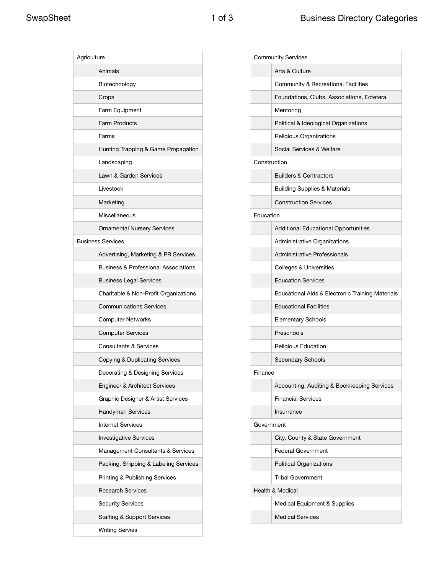| Agriculture |                                                 |  |
|-------------|-------------------------------------------------|--|
|             | Animals                                         |  |
|             | Biotechnology                                   |  |
|             | Crops                                           |  |
|             | Farm Equipment                                  |  |
|             | <b>Farm Products</b>                            |  |
|             | Farms                                           |  |
|             | Hunting Trapping & Game Propagation             |  |
|             | Landscaping                                     |  |
|             | Lawn & Garden Services                          |  |
|             | Livestock                                       |  |
|             | Marketing                                       |  |
|             | Miscellaneous                                   |  |
|             | <b>Ornamental Nursery Services</b>              |  |
|             | <b>Business Services</b>                        |  |
|             | Advertising, Marketing & PR Services            |  |
|             | <b>Business &amp; Professional Associations</b> |  |
|             | <b>Business Legal Services</b>                  |  |
|             | Charitable & Non-Profit Organizations           |  |
|             | <b>Communications Services</b>                  |  |
|             | <b>Computer Networks</b>                        |  |
|             | <b>Computer Services</b>                        |  |
|             | <b>Consultants &amp; Services</b>               |  |
|             | Copying & Duplicating Services                  |  |
|             | Decorating & Designing Services                 |  |
|             | Engineer & Architect Services                   |  |
|             | Graphic Designer & Artist Services              |  |
|             | Handyman Services                               |  |
|             | <b>Internet Services</b>                        |  |
|             | <b>Investigative Services</b>                   |  |
|             | Management Consultants & Services               |  |
|             | Packing, Shipping & Labeling Services           |  |
|             | <b>Printing &amp; Publishing Services</b>       |  |
|             | <b>Research Services</b>                        |  |
|             | <b>Security Services</b>                        |  |
|             | <b>Staffing &amp; Support Services</b>          |  |
|             | <b>Writing Servies</b>                          |  |

| Arts & Culture<br>Community & Recreational Facilities<br>Foundations, Clubs, Associations, Ectetera<br>Mentoring<br>Political & Ideological Organizations<br>Religious Organizations<br>Social Services & Welfare<br>Construction<br><b>Builders &amp; Contractors</b><br><b>Building Supplies &amp; Materials</b><br><b>Construction Services</b><br>Education<br><b>Additional Educational Opportunities</b><br>Administrative Organizations<br>Administrative Professionals<br>Colleges & Universities<br><b>Education Services</b><br>Educational Aids & Electronic Training Materials<br><b>Educational Facilities</b><br><b>Elementary Schools</b><br>Preschools<br>Religious Education<br>Secondary Schools<br>Finance<br>Accounting, Auditing & Bookkeeping Services<br><b>Financial Services</b><br>Insurrance<br>Government<br>City, County & State Government<br><b>Federal Government</b><br><b>Political Organizations</b><br><b>Tribal Government</b><br>Health & Medical<br>Medical Equipment & Supplies | <b>Community Services</b> |                         |  |
|-------------------------------------------------------------------------------------------------------------------------------------------------------------------------------------------------------------------------------------------------------------------------------------------------------------------------------------------------------------------------------------------------------------------------------------------------------------------------------------------------------------------------------------------------------------------------------------------------------------------------------------------------------------------------------------------------------------------------------------------------------------------------------------------------------------------------------------------------------------------------------------------------------------------------------------------------------------------------------------------------------------------------|---------------------------|-------------------------|--|
|                                                                                                                                                                                                                                                                                                                                                                                                                                                                                                                                                                                                                                                                                                                                                                                                                                                                                                                                                                                                                         |                           |                         |  |
|                                                                                                                                                                                                                                                                                                                                                                                                                                                                                                                                                                                                                                                                                                                                                                                                                                                                                                                                                                                                                         |                           |                         |  |
|                                                                                                                                                                                                                                                                                                                                                                                                                                                                                                                                                                                                                                                                                                                                                                                                                                                                                                                                                                                                                         |                           |                         |  |
|                                                                                                                                                                                                                                                                                                                                                                                                                                                                                                                                                                                                                                                                                                                                                                                                                                                                                                                                                                                                                         |                           |                         |  |
|                                                                                                                                                                                                                                                                                                                                                                                                                                                                                                                                                                                                                                                                                                                                                                                                                                                                                                                                                                                                                         |                           |                         |  |
|                                                                                                                                                                                                                                                                                                                                                                                                                                                                                                                                                                                                                                                                                                                                                                                                                                                                                                                                                                                                                         |                           |                         |  |
|                                                                                                                                                                                                                                                                                                                                                                                                                                                                                                                                                                                                                                                                                                                                                                                                                                                                                                                                                                                                                         |                           |                         |  |
|                                                                                                                                                                                                                                                                                                                                                                                                                                                                                                                                                                                                                                                                                                                                                                                                                                                                                                                                                                                                                         |                           |                         |  |
|                                                                                                                                                                                                                                                                                                                                                                                                                                                                                                                                                                                                                                                                                                                                                                                                                                                                                                                                                                                                                         |                           |                         |  |
|                                                                                                                                                                                                                                                                                                                                                                                                                                                                                                                                                                                                                                                                                                                                                                                                                                                                                                                                                                                                                         |                           |                         |  |
|                                                                                                                                                                                                                                                                                                                                                                                                                                                                                                                                                                                                                                                                                                                                                                                                                                                                                                                                                                                                                         |                           |                         |  |
|                                                                                                                                                                                                                                                                                                                                                                                                                                                                                                                                                                                                                                                                                                                                                                                                                                                                                                                                                                                                                         |                           |                         |  |
|                                                                                                                                                                                                                                                                                                                                                                                                                                                                                                                                                                                                                                                                                                                                                                                                                                                                                                                                                                                                                         |                           |                         |  |
|                                                                                                                                                                                                                                                                                                                                                                                                                                                                                                                                                                                                                                                                                                                                                                                                                                                                                                                                                                                                                         |                           |                         |  |
|                                                                                                                                                                                                                                                                                                                                                                                                                                                                                                                                                                                                                                                                                                                                                                                                                                                                                                                                                                                                                         |                           |                         |  |
|                                                                                                                                                                                                                                                                                                                                                                                                                                                                                                                                                                                                                                                                                                                                                                                                                                                                                                                                                                                                                         |                           |                         |  |
|                                                                                                                                                                                                                                                                                                                                                                                                                                                                                                                                                                                                                                                                                                                                                                                                                                                                                                                                                                                                                         |                           |                         |  |
|                                                                                                                                                                                                                                                                                                                                                                                                                                                                                                                                                                                                                                                                                                                                                                                                                                                                                                                                                                                                                         |                           |                         |  |
|                                                                                                                                                                                                                                                                                                                                                                                                                                                                                                                                                                                                                                                                                                                                                                                                                                                                                                                                                                                                                         |                           |                         |  |
|                                                                                                                                                                                                                                                                                                                                                                                                                                                                                                                                                                                                                                                                                                                                                                                                                                                                                                                                                                                                                         |                           |                         |  |
|                                                                                                                                                                                                                                                                                                                                                                                                                                                                                                                                                                                                                                                                                                                                                                                                                                                                                                                                                                                                                         |                           |                         |  |
|                                                                                                                                                                                                                                                                                                                                                                                                                                                                                                                                                                                                                                                                                                                                                                                                                                                                                                                                                                                                                         |                           |                         |  |
|                                                                                                                                                                                                                                                                                                                                                                                                                                                                                                                                                                                                                                                                                                                                                                                                                                                                                                                                                                                                                         |                           |                         |  |
|                                                                                                                                                                                                                                                                                                                                                                                                                                                                                                                                                                                                                                                                                                                                                                                                                                                                                                                                                                                                                         |                           |                         |  |
|                                                                                                                                                                                                                                                                                                                                                                                                                                                                                                                                                                                                                                                                                                                                                                                                                                                                                                                                                                                                                         |                           |                         |  |
|                                                                                                                                                                                                                                                                                                                                                                                                                                                                                                                                                                                                                                                                                                                                                                                                                                                                                                                                                                                                                         |                           |                         |  |
|                                                                                                                                                                                                                                                                                                                                                                                                                                                                                                                                                                                                                                                                                                                                                                                                                                                                                                                                                                                                                         |                           |                         |  |
|                                                                                                                                                                                                                                                                                                                                                                                                                                                                                                                                                                                                                                                                                                                                                                                                                                                                                                                                                                                                                         |                           |                         |  |
|                                                                                                                                                                                                                                                                                                                                                                                                                                                                                                                                                                                                                                                                                                                                                                                                                                                                                                                                                                                                                         |                           |                         |  |
|                                                                                                                                                                                                                                                                                                                                                                                                                                                                                                                                                                                                                                                                                                                                                                                                                                                                                                                                                                                                                         |                           |                         |  |
|                                                                                                                                                                                                                                                                                                                                                                                                                                                                                                                                                                                                                                                                                                                                                                                                                                                                                                                                                                                                                         |                           |                         |  |
|                                                                                                                                                                                                                                                                                                                                                                                                                                                                                                                                                                                                                                                                                                                                                                                                                                                                                                                                                                                                                         |                           |                         |  |
|                                                                                                                                                                                                                                                                                                                                                                                                                                                                                                                                                                                                                                                                                                                                                                                                                                                                                                                                                                                                                         |                           |                         |  |
|                                                                                                                                                                                                                                                                                                                                                                                                                                                                                                                                                                                                                                                                                                                                                                                                                                                                                                                                                                                                                         |                           |                         |  |
|                                                                                                                                                                                                                                                                                                                                                                                                                                                                                                                                                                                                                                                                                                                                                                                                                                                                                                                                                                                                                         |                           | <b>Medical Services</b> |  |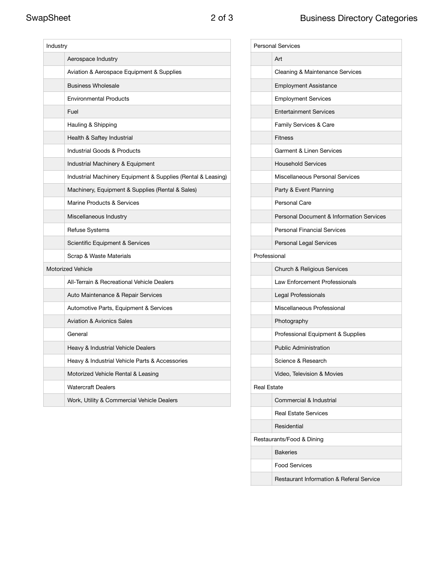| Industry |                                                              |  |
|----------|--------------------------------------------------------------|--|
|          | Aerospace Industry                                           |  |
|          | Aviation & Aerospace Equipment & Supplies                    |  |
|          | <b>Business Wholesale</b>                                    |  |
|          | <b>Environmental Products</b>                                |  |
|          | Fuel                                                         |  |
|          | Hauling & Shipping                                           |  |
|          | Health & Saftey Industrial                                   |  |
|          | <b>Industrial Goods &amp; Products</b>                       |  |
|          | Industrial Machinery & Equipment                             |  |
|          | Industrial Machinery Equipment & Supplies (Rental & Leasing) |  |
|          | Machinery, Equipment & Supplies (Rental & Sales)             |  |
|          | Marine Products & Services                                   |  |
|          | Miscellaneous Industry                                       |  |
|          | <b>Refuse Systems</b>                                        |  |
|          | Scientific Equipment & Services                              |  |
|          | Scrap & Waste Materials                                      |  |
|          | <b>Motorized Vehicle</b>                                     |  |
|          | All-Terrain & Recreational Vehicle Dealers                   |  |
|          | Auto Maintenance & Repair Services                           |  |
|          | Automotive Parts, Equipment & Services                       |  |
|          | <b>Aviation &amp; Avionics Sales</b>                         |  |
|          | General                                                      |  |
|          | Heavy & Industrial Vehicle Dealers                           |  |
|          | Heavy & Industrial Vehicle Parts & Accessories               |  |
|          | Motorized Vehicle Rental & Leasing                           |  |
|          | <b>Watercraft Dealers</b>                                    |  |
|          | Work, Utility & Commercial Vehicle Dealers                   |  |

|                    | <b>Personal Services</b>                            |
|--------------------|-----------------------------------------------------|
|                    | Art                                                 |
|                    | Cleaning & Maintenance Services                     |
|                    | <b>Employment Assistance</b>                        |
|                    | <b>Employment Services</b>                          |
|                    | <b>Entertainment Services</b>                       |
|                    | Family Services & Care                              |
|                    | <b>Fitness</b>                                      |
|                    | <b>Garment &amp; Linen Services</b>                 |
|                    | <b>Household Services</b>                           |
|                    | Miscellaneous Personal Services                     |
|                    | Party & Event Planning                              |
|                    | Personal Care                                       |
|                    | Personal Document & Information Services            |
|                    | <b>Personal Financial Services</b>                  |
|                    | Personal Legal Services                             |
| Professional       |                                                     |
|                    | <b>Church &amp; Religious Services</b>              |
|                    | Law Enforcement Professionals                       |
|                    | Legal Professionals                                 |
|                    | Miscellaneous Professional                          |
|                    | Photography                                         |
|                    | Professional Equipment & Supplies                   |
|                    | <b>Public Administration</b>                        |
|                    | Science & Research                                  |
|                    | Video, Television & Movies                          |
| <b>Real Estate</b> |                                                     |
|                    | Commercial & Industrial                             |
|                    | <b>Real Estate Services</b>                         |
|                    | Residential                                         |
|                    | Restaurants/Food & Dining                           |
|                    | <b>Bakeries</b>                                     |
|                    | <b>Food Services</b>                                |
|                    | <b>Restaurant Information &amp; Referal Service</b> |